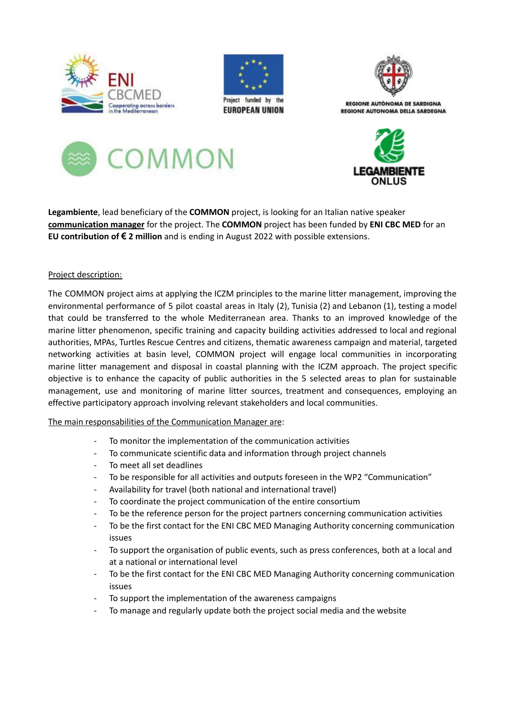





REGIONE AUTÒNOMA DE SARDIGNA **REGIONE AUTONOMA DELLA SARDEGNA** 





**Legambiente**, lead beneficiary of the **COMMON** project, is looking for an Italian native speaker **communication manager** for the project. The **COMMON** project has been funded by **ENI CBC MED** for an **EU contribution of € 2 million** and is ending in August 2022 with possible extensions.

## Project description:

The COMMON project aims at applying the ICZM principles to the marine litter management, improving the environmental performance of 5 pilot coastal areas in Italy (2), Tunisia (2) and Lebanon (1), testing a model that could be transferred to the whole Mediterranean area. Thanks to an improved knowledge of the marine litter phenomenon, specific training and capacity building activities addressed to local and regional authorities, MPAs, Turtles Rescue Centres and citizens, thematic awareness campaign and material, targeted networking activities at basin level, COMMON project will engage local communities in incorporating marine litter management and disposal in coastal planning with the ICZM approach. The project specific objective is to enhance the capacity of public authorities in the 5 selected areas to plan for sustainable management, use and monitoring of marine litter sources, treatment and consequences, employing an effective participatory approach involving relevant stakeholders and local communities.

## The main responsabilities of the Communication Manager are:

- To monitor the implementation of the communication activities
- To communicate scientific data and information through project channels
- To meet all set deadlines
- To be responsible for all activities and outputs foreseen in the WP2 "Communication"
- Availability for travel (both national and international travel)
- To coordinate the project communication of the entire consortium
- To be the reference person for the project partners concerning communication activities
- To be the first contact for the ENI CBC MED Managing Authority concerning communication issues
- To support the organisation of public events, such as press conferences, both at a local and at a national or international level
- To be the first contact for the ENI CBC MED Managing Authority concerning communication issues
- To support the implementation of the awareness campaigns
- To manage and regularly update both the project social media and the website